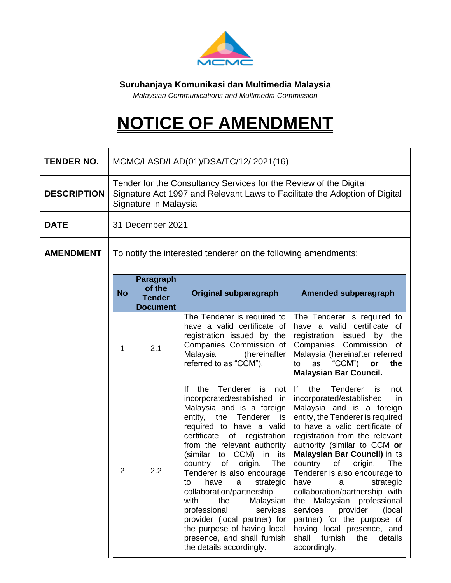

**Suruhanjaya Komunikasi dan Multimedia Malaysia** 

*Malaysian Communications and Multimedia Commission*

## **NOTICE OF AMENDMENT**

| <b>TENDER NO.</b>  | MCMC/LASD/LAD(01)/DSA/TC/12/2021(16)                                                                                                                                     |                                                                |                                                                                                                                                                                                                                                                                                                                                                                                                                                                                                                                                                   |                                                                                                                                                                                                                                                                                                                                                                                                                                                                                                                                                                                                       |  |  |  |
|--------------------|--------------------------------------------------------------------------------------------------------------------------------------------------------------------------|----------------------------------------------------------------|-------------------------------------------------------------------------------------------------------------------------------------------------------------------------------------------------------------------------------------------------------------------------------------------------------------------------------------------------------------------------------------------------------------------------------------------------------------------------------------------------------------------------------------------------------------------|-------------------------------------------------------------------------------------------------------------------------------------------------------------------------------------------------------------------------------------------------------------------------------------------------------------------------------------------------------------------------------------------------------------------------------------------------------------------------------------------------------------------------------------------------------------------------------------------------------|--|--|--|
| <b>DESCRIPTION</b> | Tender for the Consultancy Services for the Review of the Digital<br>Signature Act 1997 and Relevant Laws to Facilitate the Adoption of Digital<br>Signature in Malaysia |                                                                |                                                                                                                                                                                                                                                                                                                                                                                                                                                                                                                                                                   |                                                                                                                                                                                                                                                                                                                                                                                                                                                                                                                                                                                                       |  |  |  |
| <b>DATE</b>        | 31 December 2021                                                                                                                                                         |                                                                |                                                                                                                                                                                                                                                                                                                                                                                                                                                                                                                                                                   |                                                                                                                                                                                                                                                                                                                                                                                                                                                                                                                                                                                                       |  |  |  |
| <b>AMENDMENT</b>   | To notify the interested tenderer on the following amendments:                                                                                                           |                                                                |                                                                                                                                                                                                                                                                                                                                                                                                                                                                                                                                                                   |                                                                                                                                                                                                                                                                                                                                                                                                                                                                                                                                                                                                       |  |  |  |
|                    | <b>No</b>                                                                                                                                                                | <b>Paragraph</b><br>of the<br><b>Tender</b><br><b>Document</b> | Original subparagraph                                                                                                                                                                                                                                                                                                                                                                                                                                                                                                                                             | Amended subparagraph                                                                                                                                                                                                                                                                                                                                                                                                                                                                                                                                                                                  |  |  |  |
|                    | 1                                                                                                                                                                        | 2.1                                                            | The Tenderer is required to<br>have a valid certificate of<br>registration issued by the<br>Companies Commission of<br>Malaysia<br>(hereinafter<br>referred to as "CCM").                                                                                                                                                                                                                                                                                                                                                                                         | The Tenderer is required to<br>have a valid certificate of<br>registration<br>issued<br>by<br>the<br>Companies<br>Commission<br>of<br>Malaysia (hereinafter referred<br>$CCM$ ")<br>the<br>to<br>as<br>or<br><b>Malaysian Bar Council.</b>                                                                                                                                                                                                                                                                                                                                                            |  |  |  |
|                    | 2                                                                                                                                                                        | 2.2                                                            | Tenderer<br>is<br>lf<br>the<br>not<br>incorporated/established in<br>Malaysia and is a foreign<br>entity, the Tenderer is<br>required to have a valid<br>certificate<br>of registration<br>from the relevant authority<br>(similar to CCM) in its<br>origin.<br>The<br>country<br>οf<br>Tenderer is also encourage<br>have<br>strategic<br>a<br>to<br>collaboration/partnership<br>with<br>the<br>Malaysian<br>professional<br>services<br>provider (local partner) for<br>the purpose of having local<br>presence, and shall furnish<br>the details accordingly. | If<br>Tenderer<br>the<br>is<br>not<br>incorporated/established<br>in<br>Malaysia and is a foreign<br>entity, the Tenderer is required<br>to have a valid certificate of<br>registration from the relevant<br>authority (similar to CCM or<br><b>Malaysian Bar Council) in its</b><br>country<br>of<br>origin.<br>The<br>Tenderer is also encourage to<br>strategic<br>have<br>a<br>collaboration/partnership with<br>the Malaysian professional<br>services<br>provider<br>(local)<br>partner) for the purpose of<br>having local presence, and<br>furnish<br>shall<br>the<br>details<br>accordingly. |  |  |  |